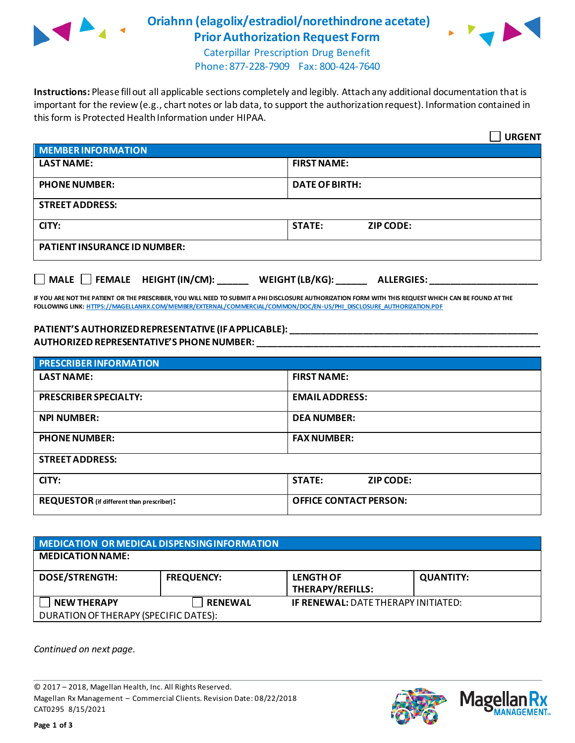

## **Oriahnn (elagolix/estradiol/norethindrone acetate) Prior Authorization Request Form**



Caterpillar Prescription Drug Benefit Phone: 877-228-7909 Fax: 800-424-7640

**Instructions:** Please fill out all applicable sections completely and legibly. Attach any additional documentation that is important for the review (e.g., chart notes or lab data, to support the authorization request). Information contained in this form is Protected Health Information under HIPAA.

|                                                                                   | <b>URGENT</b>                     |  |  |
|-----------------------------------------------------------------------------------|-----------------------------------|--|--|
| <b>MEMBER INFORMATION</b>                                                         |                                   |  |  |
| <b>LAST NAME:</b>                                                                 | <b>FIRST NAME:</b>                |  |  |
| <b>PHONE NUMBER:</b>                                                              | <b>DATE OF BIRTH:</b>             |  |  |
| <b>STREET ADDRESS:</b>                                                            |                                   |  |  |
| CITY:                                                                             | <b>STATE:</b><br><b>ZIP CODE:</b> |  |  |
| <b>PATIENT INSURANCE ID NUMBER:</b>                                               |                                   |  |  |
| $\Box$ MALE $\Box$ FEMALE HEIGHT (IN/CM):<br>WEIGHT (LB/KG):<br><b>ALLERGIES:</b> |                                   |  |  |

**IF YOU ARE NOT THE PATIENT OR THE PRESCRIBER, YOU WILL NEED TO SUBMIT A PHI DISCLOSURE AUTHORIZATION FORM WITH THIS REQUEST WHICH CAN BE FOUND AT THE FOLLOWING LINK[: HTTPS://MAGELLANRX.COM/MEMBER/EXTERNAL/COMMERCIAL/COMMON/DOC/EN-US/PHI\\_DISCLOSURE\\_AUTHORIZATION.PDF](https://magellanrx.com/member/external/commercial/common/doc/en-us/PHI_Disclosure_Authorization.pdf)**

## **PATIENT'S AUTHORIZED REPRESENTATIVE (IF APPLICABLE): \_\_\_\_\_\_\_\_\_\_\_\_\_\_\_\_\_\_\_\_\_\_\_\_\_\_\_\_\_\_\_\_\_\_\_\_\_\_\_\_\_\_\_\_\_\_\_\_ AUTHORIZED REPRESENTATIVE'S PHONE NUMBER: \_\_\_\_\_\_\_\_\_\_\_\_\_\_\_\_\_\_\_\_\_\_\_\_\_\_\_\_\_\_\_\_\_\_\_\_\_\_\_\_\_\_\_\_\_\_\_\_\_\_\_\_\_\_\_**

| <b>PRESCRIBER INFORMATION</b>             |                               |  |  |
|-------------------------------------------|-------------------------------|--|--|
| <b>LAST NAME:</b>                         | <b>FIRST NAME:</b>            |  |  |
| <b>PRESCRIBER SPECIALTY:</b>              | <b>EMAIL ADDRESS:</b>         |  |  |
| <b>NPI NUMBER:</b>                        | <b>DEA NUMBER:</b>            |  |  |
| <b>PHONE NUMBER:</b>                      | <b>FAX NUMBER:</b>            |  |  |
| <b>STREET ADDRESS:</b>                    |                               |  |  |
| CITY:                                     | <b>STATE:</b><br>ZIP CODE:    |  |  |
| REQUESTOR (if different than prescriber): | <b>OFFICE CONTACT PERSON:</b> |  |  |

| MEDICATION OR MEDICAL DISPENSING INFORMATION |                   |                                             |                  |  |  |
|----------------------------------------------|-------------------|---------------------------------------------|------------------|--|--|
| <b>MEDICATION NAME:</b>                      |                   |                                             |                  |  |  |
| <b>DOSE/STRENGTH:</b>                        | <b>FREQUENCY:</b> | <b>LENGTH OF</b><br><b>THERAPY/REFILLS:</b> | <b>QUANTITY:</b> |  |  |
| <b>NEW THERAPY</b>                           | <b>RENEWAL</b>    | <b>IF RENEWAL: DATE THERAPY INITIATED:</b>  |                  |  |  |
| DURATION OF THERAPY (SPECIFIC DATES):        |                   |                                             |                  |  |  |

*Continued on next page.*

© 2017 – 2018, Magellan Health, Inc. All Rights Reserved. Magellan Rx Management – Commercial Clients. Revision Date: 08/22/2018 CAT0295 8/15/2021



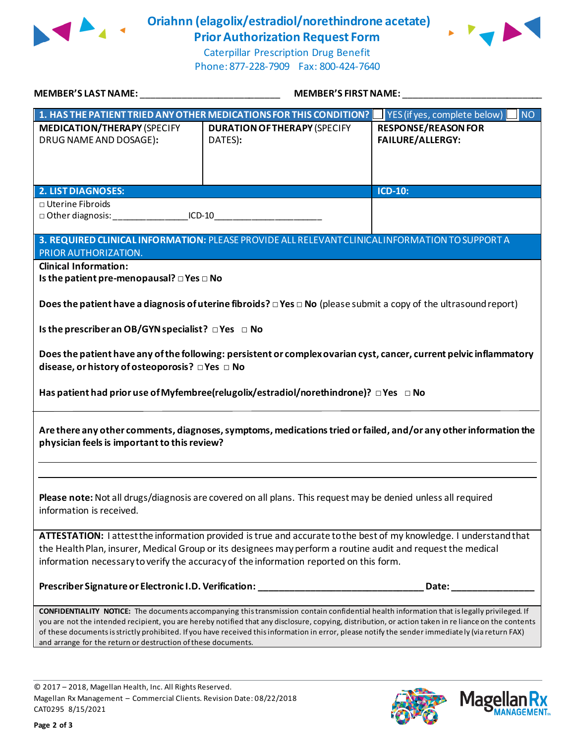

**Oriahnn (elagolix/estradiol/norethindrone acetate) Prior Authorization Request Form**



Caterpillar Prescription Drug Benefit Phone: 877-228-7909 Fax: 800-424-7640

| MEMBER'S LAST NAME: NAME AND A CONTROL CONTROL CONTROL CONTROL CONTROL CONTROL CONTROL CONTROL CONTR                                                                                                                                                                                                                                                                                                                                                                                                                            | <b>MEMBER'S FIRST NAME:</b>                                                                                                 |                                                       |  |  |
|---------------------------------------------------------------------------------------------------------------------------------------------------------------------------------------------------------------------------------------------------------------------------------------------------------------------------------------------------------------------------------------------------------------------------------------------------------------------------------------------------------------------------------|-----------------------------------------------------------------------------------------------------------------------------|-------------------------------------------------------|--|--|
|                                                                                                                                                                                                                                                                                                                                                                                                                                                                                                                                 | 1. HAS THE PATIENT TRIED ANY OTHER MEDICATIONS FOR THIS CONDITION?                                                          | <b>NO</b><br>YES (if yes, complete below)             |  |  |
| <b>MEDICATION/THERAPY (SPECIFY</b><br>DRUG NAME AND DOSAGE):                                                                                                                                                                                                                                                                                                                                                                                                                                                                    | <b>DURATION OF THERAPY (SPECIFY</b><br>DATES):                                                                              | <b>RESPONSE/REASON FOR</b><br><b>FAILURE/ALLERGY:</b> |  |  |
| <b>2. LIST DIAGNOSES:</b>                                                                                                                                                                                                                                                                                                                                                                                                                                                                                                       |                                                                                                                             | ICD-10:                                               |  |  |
| □ Uterine Fibroids<br>□ Other diagnosis: ___________________ICD-10___________________________________                                                                                                                                                                                                                                                                                                                                                                                                                           |                                                                                                                             |                                                       |  |  |
| PRIOR AUTHORIZATION.                                                                                                                                                                                                                                                                                                                                                                                                                                                                                                            | 3. REQUIRED CLINICAL INFORMATION: PLEASE PROVIDE ALL RELEVANT CLINICAL INFORMATION TO SUPPORT A                             |                                                       |  |  |
| <b>Clinical Information:</b><br>Is the patient pre-menopausal? $\square$ Yes $\square$ No                                                                                                                                                                                                                                                                                                                                                                                                                                       |                                                                                                                             |                                                       |  |  |
|                                                                                                                                                                                                                                                                                                                                                                                                                                                                                                                                 | Does the patient have a diagnosis of uterine fibroids? $\Box$ Yes $\Box$ No (please submit a copy of the ultrasound report) |                                                       |  |  |
| Is the prescriber an OB/GYN specialist? $\Box$ Yes $\Box$ No                                                                                                                                                                                                                                                                                                                                                                                                                                                                    |                                                                                                                             |                                                       |  |  |
| Does the patient have any of the following: persistent or complex ovarian cyst, cancer, current pelvic inflammatory<br>disease, or history of osteoporosis? □ Yes □ No                                                                                                                                                                                                                                                                                                                                                          |                                                                                                                             |                                                       |  |  |
| Has patient had prior use of Myfembree(relugolix/estradiol/norethindrone)? □ Yes □ No                                                                                                                                                                                                                                                                                                                                                                                                                                           |                                                                                                                             |                                                       |  |  |
| Are there any other comments, diagnoses, symptoms, medications tried or failed, and/or any other information the<br>physician feels is important to this review?                                                                                                                                                                                                                                                                                                                                                                |                                                                                                                             |                                                       |  |  |
|                                                                                                                                                                                                                                                                                                                                                                                                                                                                                                                                 |                                                                                                                             |                                                       |  |  |
| Please note: Not all drugs/diagnosis are covered on all plans. This request may be denied unless all required<br>information is received.                                                                                                                                                                                                                                                                                                                                                                                       |                                                                                                                             |                                                       |  |  |
| ATTESTATION: I attest the information provided is true and accurate to the best of my knowledge. I understand that<br>the Health Plan, insurer, Medical Group or its designees may perform a routine audit and request the medical<br>information necessary to verify the accuracy of the information reported on this form.                                                                                                                                                                                                    |                                                                                                                             |                                                       |  |  |
|                                                                                                                                                                                                                                                                                                                                                                                                                                                                                                                                 | Prescriber Signature or Electronic I.D. Verification: __________________________                                            | Date:                                                 |  |  |
| <b>CONFIDENTIALITY NOTICE:</b> The documents accompanying this transmission contain confidential health information that is legally privileged. If<br>you are not the intended recipient, you are hereby notified that any disclosure, copying, distribution, or action taken in re liance on the contents<br>of these documents is strictly prohibited. If you have received this information in error, please notify the sender immediately (via return FAX)<br>and arrange for the return or destruction of these documents. |                                                                                                                             |                                                       |  |  |

© 2017 – 2018, Magellan Health, Inc. All Rights Reserved. Magellan Rx Management – Commercial Clients. Revision Date: 08/22/2018 CAT0295 8/15/2021